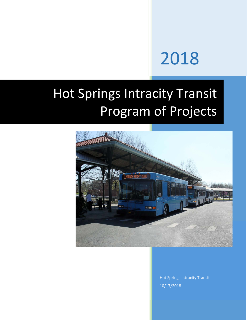# 2018

## Hot Springs Intracity Transit Program of Projects



Hot Springs Intracity Transit 10/17/2018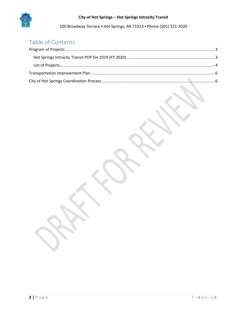

#### **City of Hot Springs – Hot Springs Intracity Transit**

100 Broadway Terrace ▪ Hot Springs, AR 71913 ▪ Phone (501) 321‐2020

## Table of Contents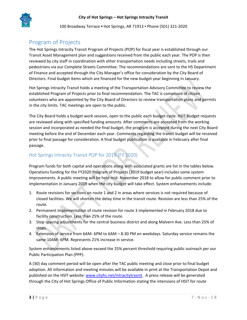

## Program of Projects

The Hot Springs Intracity Transit Program of Projects (POP) for fiscal year is established through our Transit Asset Management plan and suggestions received from the public each year. The POP is then reviewed by city staff in coordination with other transportation needs including streets, trails and pedestrians via our Complete Streets Committee. The recommendations are sent to the HS Department of Finance and accepted through the City Manager's office for consideration by the City Board of Directors. Final budget items which are financed for the new budget year beginning in January.

Hot Springs Intracity Transit holds a meeting of the Transportation Advisory Committee to review the established Program of Projects prior to final recommendation. The TAC is comprised of citizen volunteers who are appointed by the City Board of Directors to review transportation plans and permits in the city limits. TAC meetings are open to the public.

The City Board holds a budget work session, open to the public each budget cycle. HSIT budget requests are reviewed along with specified funding amounts. After comments are accepted from the working session and incorporated as needed the final budget, the program is accepted during the next City Board meeting before the end of December each year. Comments regarding the transit budget will be received prior to final passage for consideration. A final budget publication is available in February after final passage.

#### Hot Springs Intracity Transit POP for 2019 (FY 2020)

Program funds for both capital and operations along with associated grants are list in the tables below. Operations funding for the FY2020 Program of Projects (2019 budget year) includes some system improvements. A public meeting will be held mid‐ November 2018 to allow for public comment prior to implementation in January 2019 when the city budget will take effect. System enhancements include:

- 1. Route revisions for sections on route 1 and 2 in areas where services is not required because of closed facilities. We will shorten the delay time in the transit route. Revision are less than 25% of the route.
- 2. Permanent implementation of route revision for route 3 implemented in February 2018 due to facility construction. Less than 25% of the route.
- 3. Stop spacing adjustments for the central business district and along Malvern Ave. Less than 25% of stops.
- 4. Extension of service from 6AM‐ 6PM to 6AM 8:30 PM on weekdays. Saturday service remains the same 10AM‐ 6PM. Represents 21% increase in service.

System enhancements listed above exceed the 25% percent threshold requiring public outreach per our Public Participation Plan (PPP).

A (30) day comment period will be open after the TAC public meeting and close prior to final budget adoption. All information and meeting minutes will be available in print at the Transportation Depot and published on the HSIT website: www.cityhs.net/intracitytrasnit . A press release will be generated through the City of Hot Springs Office of Public Information stating the intensions of HSIT for route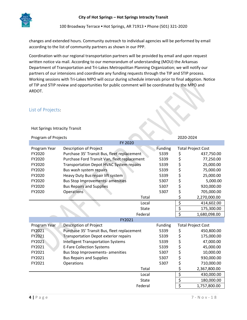

changes and extended hours. Community outreach to individual agencies will be performed by email according to the list of community partners as shown in our PPP.

Coordination with our regional transportation partners will be provided by email and upon request written notice via mail. According to our memorandum of understanding (MOU) the Arkansas Department of Transportation and Tri‐Lakes Metropolitan Planning Organization; we will notify our partners of our intensions and coordinate any funding requests through the TIP and STIP process. Working sessions with Tri‐Lakes MPO will occur during schedule intervals prior to final adoption. Notice of TIP and STIP review and opportunities for public comment will be coordinated by the MPO and ARDOT.

#### List of Projects:

Hot Springs Intracity Transit

| Program of Projects |                                                 | 2020-2024 |                                 |                           |  |  |  |  |
|---------------------|-------------------------------------------------|-----------|---------------------------------|---------------------------|--|--|--|--|
|                     | FY 2020                                         |           |                                 |                           |  |  |  |  |
| Program Year        | Description of Project                          | Funding   | <b>Total Project Cost</b>       |                           |  |  |  |  |
| FY2020              | Purchase 35' Transit Bus, fleet replacement     | 5339      | \$                              | 437,750.00                |  |  |  |  |
| FY2020              | Purchase Ford Transit Van, fleet replacement    | 5339      | \$                              | 77,250.00                 |  |  |  |  |
| FY2020              | <b>Transportation Depot HVAC System repairs</b> | 5339      | \$                              | 25,000.00                 |  |  |  |  |
| FY2020              | Bus wash system repairs                         | 5339      | \$                              | 75,000.00                 |  |  |  |  |
| FY2020              | Heavy Duty Bus repair lift system               | 5339      | \$                              | 25,000.00                 |  |  |  |  |
| FY2020              | <b>Bus Stop Improvements- amenities</b>         | 5307      | \$                              | 5,000.00                  |  |  |  |  |
| FY2020              | <b>Bus Repairs and Supplies</b>                 | 5307      | \$                              | 920,000.00                |  |  |  |  |
| FY2020              | Operations                                      | 5307      | \$                              | 705,000.00                |  |  |  |  |
|                     | Total                                           |           | \$                              | 2,270,000.00              |  |  |  |  |
|                     | Local                                           |           | \$                              | 414,602.00                |  |  |  |  |
|                     | <b>State</b>                                    |           | $\overline{\xi}$                | 175,300.00                |  |  |  |  |
|                     | Federal                                         |           | $\overline{\boldsymbol{\zeta}}$ | 1,680,098.00              |  |  |  |  |
| FY2021              |                                                 |           |                                 |                           |  |  |  |  |
| Program Year        | <b>Description of Project</b>                   | Funding   |                                 | <b>Total Project Cost</b> |  |  |  |  |
| FY2021              | Purchase 35' Transit Bus, fleet replacement     | 5339      | \$                              | 450,800.00                |  |  |  |  |
| FY2021              | <b>Transportation Depot exterior repairs</b>    | 5339      | \$                              | 175,000.00                |  |  |  |  |
| FY2021              | <b>Intelligent Transportation Systems</b>       | 5339      | \$                              | 47,000.00                 |  |  |  |  |
| FY2021              | <b>E-Fare Collection Systems</b>                | 5339      | \$                              | 45,000.00                 |  |  |  |  |
| FY2021              | Bus Stop Improvements- amenities                | 5307      | \$                              | 10,000.00                 |  |  |  |  |
| FY2021              | <b>Bus Repairs and Supplies</b>                 | 5307      | \$                              | 930,000.00                |  |  |  |  |
| FY2021              | Operations                                      | 5307      | \$                              | 710,000.00                |  |  |  |  |
|                     | Total                                           |           | \$                              | 2,367,800.00              |  |  |  |  |
|                     | Local                                           |           | \$                              | 430,000.00                |  |  |  |  |
|                     | <b>State</b>                                    |           | $\overline{\xi}$                | 180,000.00                |  |  |  |  |
|                     | Federal                                         |           | \$                              | 1,757,800.00              |  |  |  |  |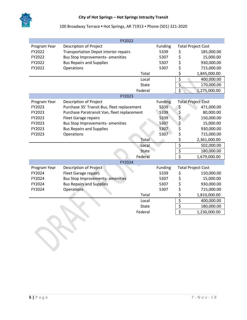

|              | FY2022                                       |              |                |                                 |                           |
|--------------|----------------------------------------------|--------------|----------------|---------------------------------|---------------------------|
| Program Year | Description of Project                       | Funding      |                | <b>Total Project Cost</b>       |                           |
| FY2022       | <b>Transportation Depot interior repairs</b> |              | 5339           | \$                              | 185,000.00                |
| FY2022       | <b>Bus Stop Improvements- amenities</b>      |              | 5307           | \$                              | 15,000.00                 |
| FY2022       | <b>Bus Repairs and Supplies</b>              |              | 5307           | \$                              | 930,000.00                |
| FY2022       | Operations                                   |              | 5307           | \$                              | 715,000.00                |
|              |                                              | Total        |                | \$                              | 1,845,000.00              |
|              |                                              | Local        |                | \$                              | 400,000.00                |
|              |                                              | State        |                | \$                              | 170,000.00                |
|              |                                              | Federal      |                | \$                              | 1,275,000.00              |
|              | FY2023                                       |              |                |                                 |                           |
| Program Year | Description of Project                       |              | <b>Funding</b> |                                 | <b>Total Project Cost</b> |
| FY2023       | Purchase 35' Transit Bus, fleet replacement  |              | 5339           | $\zeta$                         | 471,000.00                |
| FY2023       | Purchase Paratransit Van, fleet replacement  |              | 5339           | \$<br>\$                        | 80,000.00                 |
| FY2023       | <b>Fleet Garage repairs</b>                  |              | 5339           |                                 | 150,000.00                |
| FY2023       | Bus Stop Improvements- amenities             |              | 5307           | \$                              | 15,000.00                 |
| FY2023       | <b>Bus Repairs and Supplies</b>              |              | 5307           | \$                              | 930,000.00                |
| FY2023       | Operations                                   |              | 5307           | \$                              | 715,000.00                |
|              |                                              | Total        |                | \$                              | 2,361,000.00              |
|              |                                              | Local        |                | $\overline{\xi}$                | 502,000.00                |
|              |                                              | <b>State</b> |                | \$                              | 180,000.00                |
|              |                                              | Federal      |                | $\overline{\boldsymbol{\zeta}}$ | 1,679,000.00              |
|              | FY2024                                       |              |                |                                 |                           |
| Program Year | Description of Project                       |              | Funding        |                                 | <b>Total Project Cost</b> |
| FY2024       | <b>Fleet Garage repairs</b>                  |              | 5339           | \$                              | 150,000.00                |
| FY2024       | <b>Bus Stop Improvements- amenities</b>      |              | 5307           | \$                              | 15,000.00                 |
| FY2024       | <b>Bus Repairs and Supplies</b>              |              | 5307           | \$                              | 930,000.00                |
| FY2024       | <b>Operations</b>                            |              | 5307           | \$                              | 715,000.00                |
|              |                                              | Total        |                | \$                              | 1,810,000.00              |
|              |                                              | Local        |                | \$                              | 400,000.00                |
|              |                                              | State        |                | $\overline{\xi}$                | 180,000.00                |
|              |                                              | Federal      |                | \$                              | 1,230,000.00              |

**Sc.**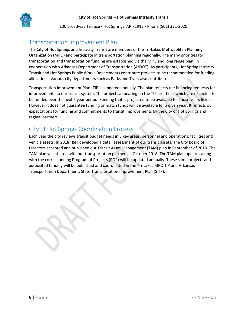

### Transportation Improvement Plan

The City of Hot Springs and Intracity Transit are members of the Tri‐Lakes Metropolitan Planning Organization (MPO) and participate in transportation planning regionally. The many priorities for transportation and transportation funding are established via the MPO and long range plan. In cooperation with Arkansas Department of Transportation (ArDOT). As participants, Hot Spring Intracity Transit and Hot Springs Public Works Departments contribute projects to be recommended for funding allocations. Various city departments such as Parks and Trails also contribute.

Transportation Improvement Plan (TIP) is updated annually. The plan reflects the financing requests for improvements to our transit system. The projects appearing on the TIP are those which are expected to be funded over the next 5 year period. Funding that is projected to be available for those years listed. However it does not guarantee funding or match funds will be available for a given year. It reflects our expectations for funding and commitments to transit improvements by the City of Hot Springs and reginal partners.

## City of Hot Springs Coordination Process

Each year the city reviews transit budget needs in 3 key areas; personnel and operations, facilities and vehicle assets. In 2018 HSIT developed a detail assessment of our transit assets. The City Board of Directors accepted and published our Transit Asset Management (TAM) plan in September of 2018. The TAM plan was shared with our transportation partners in October 2018. The TAM plan updates along with the corresponding Program of Projects (POP) will be updated annually. These same projects and associated funding will be published and coordinated in the Tri‐Lakes MPO TIP and Arkansas Transportation Department, State Transportation Improvement Plan (STIP).